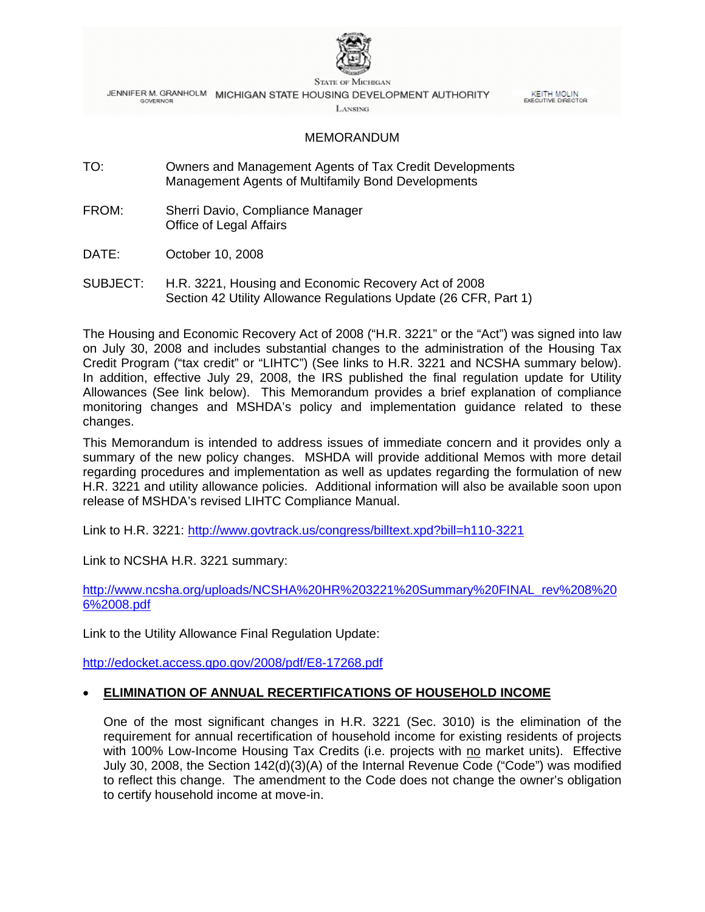

**STATE OF MICHIGAN** JENNIFER M. GRANHOLM MICHIGAN STATE HOUSING DEVELOPMENT AUTHORITY **GOVERNOR** 

**KEITH MOLIN**<br>EXECUTIVE DIRECTOR

LANSING

#### MEMORANDUM

- TO: Owners and Management Agents of Tax Credit Developments Management Agents of Multifamily Bond Developments
- FROM: Sherri Davio, Compliance Manager Office of Legal Affairs
- DATE: October 10, 2008
- SUBJECT: H.R. 3221, Housing and Economic Recovery Act of 2008 Section 42 Utility Allowance Regulations Update (26 CFR, Part 1)

The Housing and Economic Recovery Act of 2008 ("H.R. 3221" or the "Act") was signed into law on July 30, 2008 and includes substantial changes to the administration of the Housing Tax Credit Program ("tax credit" or "LIHTC") (See links to H.R. 3221 and NCSHA summary below). In addition, effective July 29, 2008, the IRS published the final regulation update for Utility Allowances (See link below). This Memorandum provides a brief explanation of compliance monitoring changes and MSHDA's policy and implementation guidance related to these changes.

This Memorandum is intended to address issues of immediate concern and it provides only a summary of the new policy changes. MSHDA will provide additional Memos with more detail regarding procedures and implementation as well as updates regarding the formulation of new H.R. 3221 and utility allowance policies. Additional information will also be available soon upon release of MSHDA's revised LIHTC Compliance Manual.

Link to H.R. 3221: <http://www.govtrack.us/congress/billtext.xpd?bill=h110-3221>

Link to NCSHA H.R. 3221 summary:

[http://www.ncsha.org/uploads/NCSHA%20HR%203221%20Summary%20FINAL\\_rev%208%20](http://www.ncsha.org/uploads/NCSHA%20HR%203221%20Summary%20FINAL_rev%208%206%2008.pdf) [6%2008.pdf](http://www.ncsha.org/uploads/NCSHA%20HR%203221%20Summary%20FINAL_rev%208%206%2008.pdf)

Link to the Utility Allowance Final Regulation Update:

<http://edocket.access.gpo.gov/2008/pdf/E8-17268.pdf>

# • **ELIMINATION OF ANNUAL RECERTIFICATIONS OF HOUSEHOLD INCOME**

One of the most significant changes in H.R. 3221 (Sec. 3010) is the elimination of the requirement for annual recertification of household income for existing residents of projects with 100% Low-Income Housing Tax Credits (i.e. projects with no market units). Effective July 30, 2008, the Section 142(d)(3)(A) of the Internal Revenue Code ("Code") was modified to reflect this change. The amendment to the Code does not change the owner's obligation to certify household income at move-in.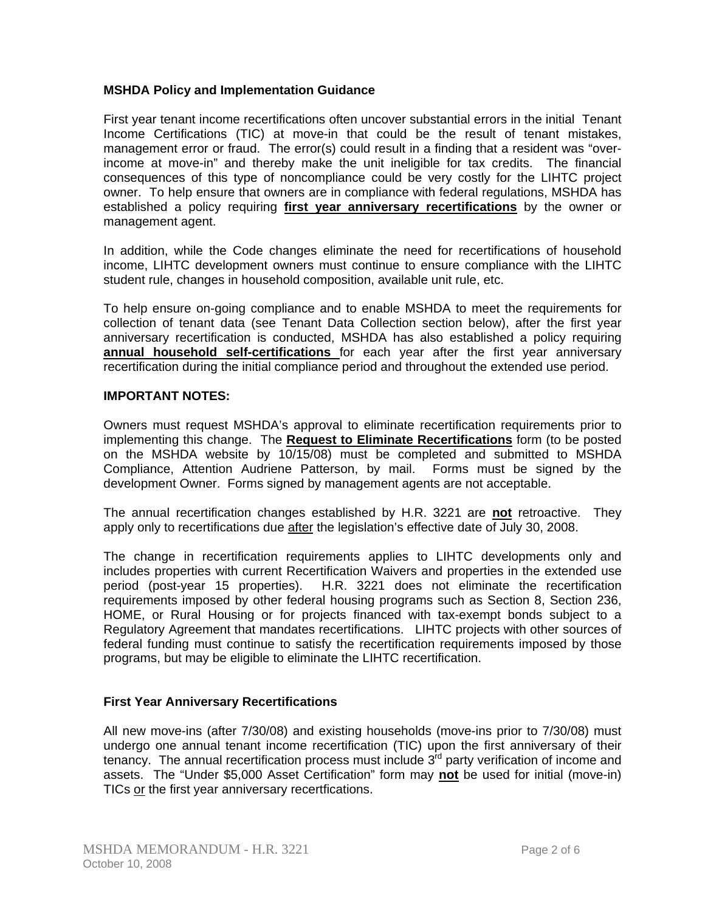# **MSHDA Policy and Implementation Guidance**

First year tenant income recertifications often uncover substantial errors in the initial Tenant Income Certifications (TIC) at move-in that could be the result of tenant mistakes, management error or fraud. The error(s) could result in a finding that a resident was "overincome at move-in" and thereby make the unit ineligible for tax credits. The financial consequences of this type of noncompliance could be very costly for the LIHTC project owner. To help ensure that owners are in compliance with federal regulations, MSHDA has established a policy requiring **first year anniversary recertifications** by the owner or management agent.

In addition, while the Code changes eliminate the need for recertifications of household income, LIHTC development owners must continue to ensure compliance with the LIHTC student rule, changes in household composition, available unit rule, etc.

To help ensure on-going compliance and to enable MSHDA to meet the requirements for collection of tenant data (see Tenant Data Collection section below), after the first year anniversary recertification is conducted, MSHDA has also established a policy requiring **annual household self-certifications** for each year after the first year anniversary recertification during the initial compliance period and throughout the extended use period.

#### **IMPORTANT NOTES:**

Owners must request MSHDA's approval to eliminate recertification requirements prior to implementing this change. The **Request to Eliminate Recertifications** form (to be posted on the MSHDA website by 10/15/08) must be completed and submitted to MSHDA Compliance, Attention Audriene Patterson, by mail. Forms must be signed by the development Owner. Forms signed by management agents are not acceptable.

The annual recertification changes established by H.R. 3221 are **not** retroactive. They apply only to recertifications due after the legislation's effective date of July 30, 2008.

The change in recertification requirements applies to LIHTC developments only and includes properties with current Recertification Waivers and properties in the extended use period (post-year 15 properties). H.R. 3221 does not eliminate the recertification requirements imposed by other federal housing programs such as Section 8, Section 236, HOME, or Rural Housing or for projects financed with tax-exempt bonds subject to a Regulatory Agreement that mandates recertifications. LIHTC projects with other sources of federal funding must continue to satisfy the recertification requirements imposed by those programs, but may be eligible to eliminate the LIHTC recertification.

# **First Year Anniversary Recertifications**

All new move-ins (after 7/30/08) and existing households (move-ins prior to 7/30/08) must undergo one annual tenant income recertification (TIC) upon the first anniversary of their tenancy. The annual recertification process must include  $3<sup>rd</sup>$  party verification of income and assets. The "Under \$5,000 Asset Certification" form may **not** be used for initial (move-in) TICs or the first year anniversary recertfications.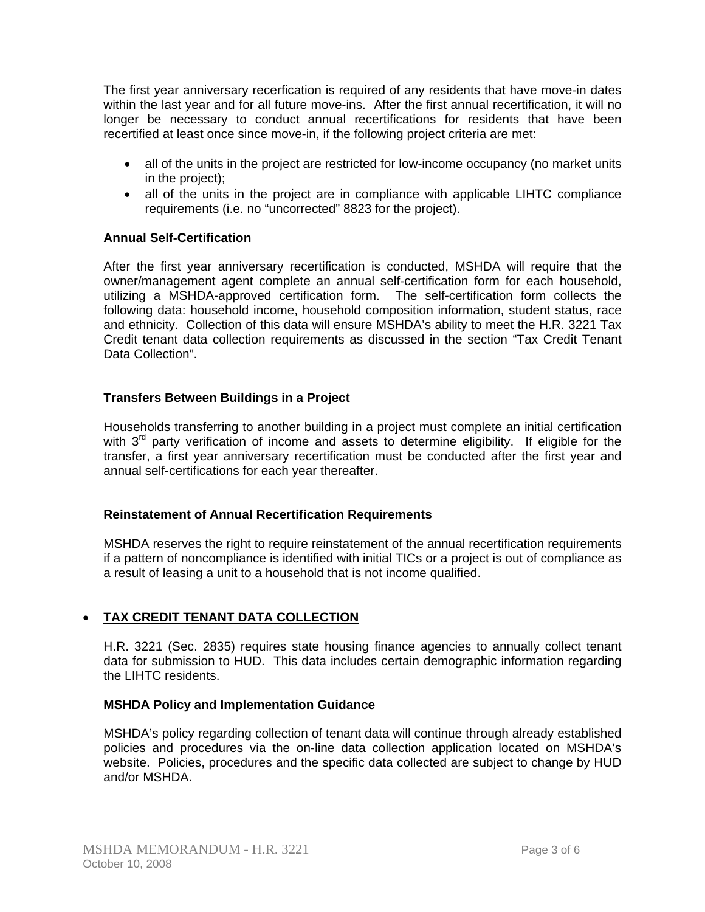The first year anniversary recerfication is required of any residents that have move-in dates within the last year and for all future move-ins. After the first annual recertification, it will no longer be necessary to conduct annual recertifications for residents that have been recertified at least once since move-in, if the following project criteria are met:

- all of the units in the project are restricted for low-income occupancy (no market units in the project);
- all of the units in the project are in compliance with applicable LIHTC compliance requirements (i.e. no "uncorrected" 8823 for the project).

# **Annual Self-Certification**

After the first year anniversary recertification is conducted, MSHDA will require that the owner/management agent complete an annual self-certification form for each household, utilizing a MSHDA-approved certification form. The self-certification form collects the following data: household income, household composition information, student status, race and ethnicity. Collection of this data will ensure MSHDA's ability to meet the H.R. 3221 Tax Credit tenant data collection requirements as discussed in the section "Tax Credit Tenant Data Collection".

# **Transfers Between Buildings in a Project**

Households transferring to another building in a project must complete an initial certification with  $3<sup>rd</sup>$  party verification of income and assets to determine eligibility. If eligible for the transfer, a first year anniversary recertification must be conducted after the first year and annual self-certifications for each year thereafter.

# **Reinstatement of Annual Recertification Requirements**

MSHDA reserves the right to require reinstatement of the annual recertification requirements if a pattern of noncompliance is identified with initial TICs or a project is out of compliance as a result of leasing a unit to a household that is not income qualified.

# • **TAX CREDIT TENANT DATA COLLECTION**

H.R. 3221 (Sec. 2835) requires state housing finance agencies to annually collect tenant data for submission to HUD. This data includes certain demographic information regarding the LIHTC residents.

#### **MSHDA Policy and Implementation Guidance**

MSHDA's policy regarding collection of tenant data will continue through already established policies and procedures via the on-line data collection application located on MSHDA's website. Policies, procedures and the specific data collected are subject to change by HUD and/or MSHDA.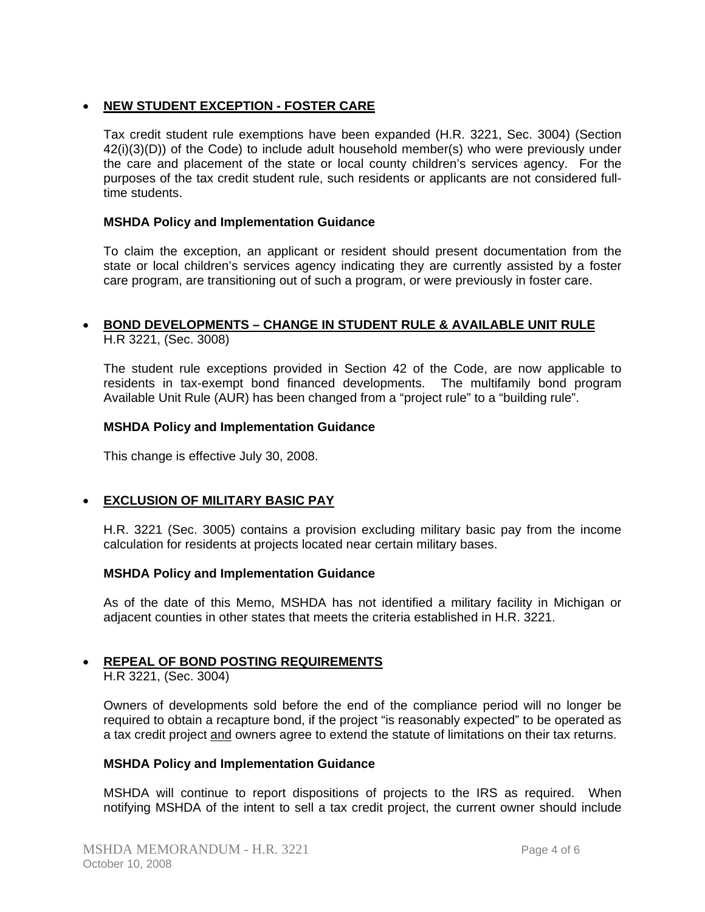# • **NEW STUDENT EXCEPTION - FOSTER CARE**

Tax credit student rule exemptions have been expanded (H.R. 3221, Sec. 3004) (Section  $42(i)(3)(D)$ ) of the Code) to include adult household member(s) who were previously under the care and placement of the state or local county children's services agency. For the purposes of the tax credit student rule, such residents or applicants are not considered fulltime students.

#### **MSHDA Policy and Implementation Guidance**

To claim the exception, an applicant or resident should present documentation from the state or local children's services agency indicating they are currently assisted by a foster care program, are transitioning out of such a program, or were previously in foster care.

# • **BOND DEVELOPMENTS – CHANGE IN STUDENT RULE & AVAILABLE UNIT RULE** H.R 3221, (Sec. 3008)

The student rule exceptions provided in Section 42 of the Code, are now applicable to residents in tax-exempt bond financed developments. The multifamily bond program Available Unit Rule (AUR) has been changed from a "project rule" to a "building rule".

#### **MSHDA Policy and Implementation Guidance**

This change is effective July 30, 2008.

# • **EXCLUSION OF MILITARY BASIC PAY**

H.R. 3221 (Sec. 3005) contains a provision excluding military basic pay from the income calculation for residents at projects located near certain military bases.

#### **MSHDA Policy and Implementation Guidance**

As of the date of this Memo, MSHDA has not identified a military facility in Michigan or adjacent counties in other states that meets the criteria established in H.R. 3221.

# • **REPEAL OF BOND POSTING REQUIREMENTS**

H.R 3221, (Sec. 3004)

Owners of developments sold before the end of the compliance period will no longer be required to obtain a recapture bond, if the project "is reasonably expected" to be operated as a tax credit project and owners agree to extend the statute of limitations on their tax returns.

#### **MSHDA Policy and Implementation Guidance**

MSHDA will continue to report dispositions of projects to the IRS as required. When notifying MSHDA of the intent to sell a tax credit project, the current owner should include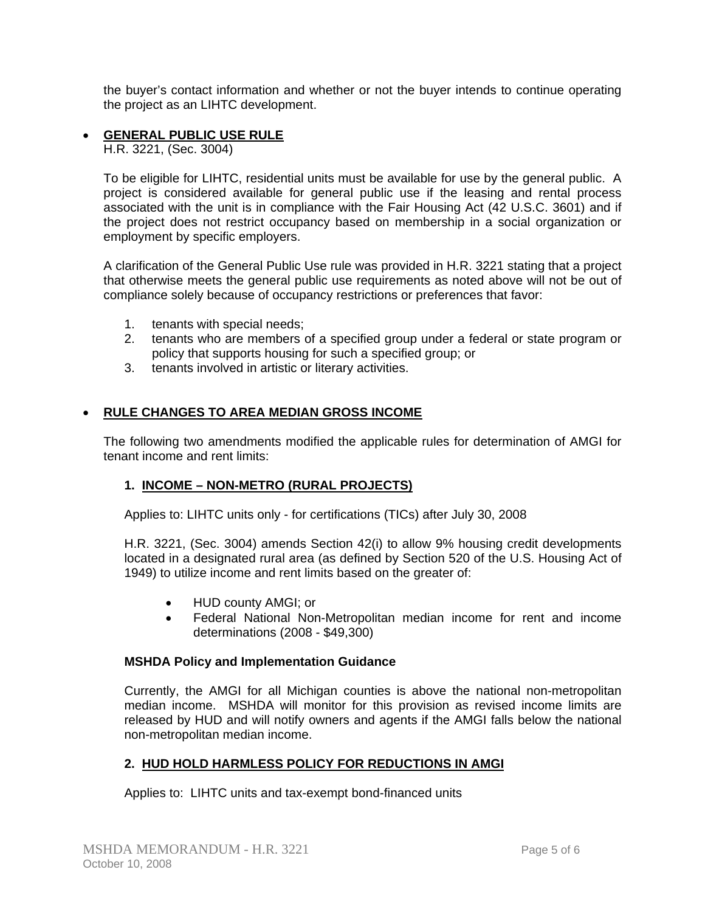the buyer's contact information and whether or not the buyer intends to continue operating the project as an LIHTC development.

# • **GENERAL PUBLIC USE RULE**

H.R. 3221, (Sec. 3004)

To be eligible for LIHTC, residential units must be available for use by the general public. A project is considered available for general public use if the leasing and rental process associated with the unit is in compliance with the Fair Housing Act (42 U.S.C. 3601) and if the project does not restrict occupancy based on membership in a social organization or employment by specific employers.

A clarification of the General Public Use rule was provided in H.R. 3221 stating that a project that otherwise meets the general public use requirements as noted above will not be out of compliance solely because of occupancy restrictions or preferences that favor:

- 1. tenants with special needs;
- 2. tenants who are members of a specified group under a federal or state program or policy that supports housing for such a specified group; or
- 3. tenants involved in artistic or literary activities.

# • **RULE CHANGES TO AREA MEDIAN GROSS INCOME**

The following two amendments modified the applicable rules for determination of AMGI for tenant income and rent limits:

# **1. INCOME – NON-METRO (RURAL PROJECTS)**

Applies to: LIHTC units only - for certifications (TICs) after July 30, 2008

H.R. 3221, (Sec. 3004) amends Section 42(i) to allow 9% housing credit developments located in a designated rural area (as defined by Section 520 of the U.S. Housing Act of 1949) to utilize income and rent limits based on the greater of:

- HUD county AMGI; or
- Federal National Non-Metropolitan median income for rent and income determinations (2008 - \$49,300)

# **MSHDA Policy and Implementation Guidance**

Currently, the AMGI for all Michigan counties is above the national non-metropolitan median income. MSHDA will monitor for this provision as revised income limits are released by HUD and will notify owners and agents if the AMGI falls below the national non-metropolitan median income.

# **2. HUD HOLD HARMLESS POLICY FOR REDUCTIONS IN AMGI**

Applies to: LIHTC units and tax-exempt bond-financed units